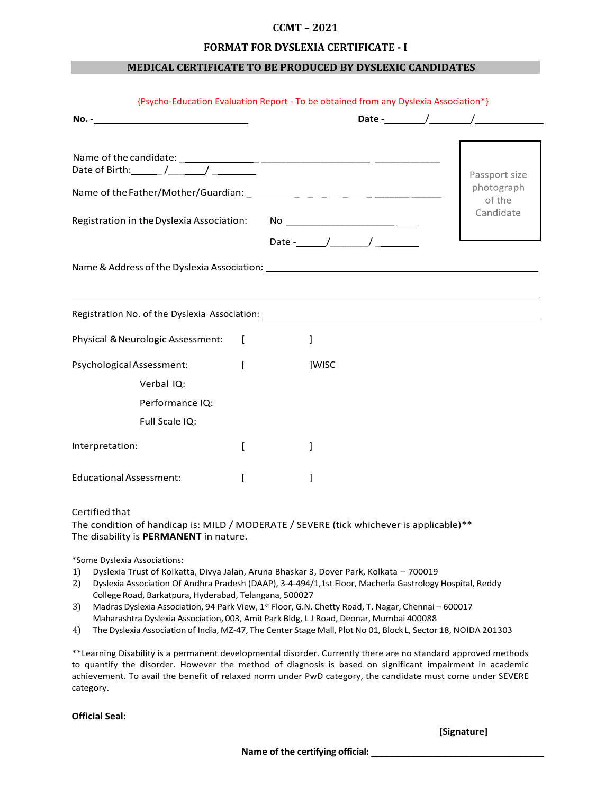# **CCMT – 2021**

#### **FORMAT FOR DYSLEXIA CERTIFICATE - I**

### **MEDICAL CERTIFICATE TO BE PRODUCED BY DYSLEXIC CANDIDATES**

|                                                                                                                                                                                                       |       | Passport size        |
|-------------------------------------------------------------------------------------------------------------------------------------------------------------------------------------------------------|-------|----------------------|
|                                                                                                                                                                                                       |       | photograph<br>of the |
|                                                                                                                                                                                                       |       | Candidate            |
|                                                                                                                                                                                                       |       |                      |
|                                                                                                                                                                                                       |       |                      |
|                                                                                                                                                                                                       |       |                      |
|                                                                                                                                                                                                       | 1     |                      |
|                                                                                                                                                                                                       | ]WISC |                      |
| Verbal IQ:                                                                                                                                                                                            |       |                      |
| Performance IQ:                                                                                                                                                                                       |       |                      |
| Registration No. of the Dyslexia Association: New York Charles Association of the United States of the United S<br>Physical & Neurologic Assessment: [<br>Psychological Assessment:<br>Full Scale IQ: |       |                      |
| Interpretation:                                                                                                                                                                                       |       |                      |

#### Certified that

The condition of handicap is: MILD / MODERATE / SEVERE (tick whichever is applicable)\*\* The disability is **PERMANENT** in nature.

\*Some Dyslexia Associations:

- 1) Dyslexia Trust of Kolkatta, Divya Jalan, Aruna Bhaskar 3, Dover Park, Kolkata 700019
- 2) Dyslexia Association Of Andhra Pradesh (DAAP), 3-4-494/1,1st Floor, Macherla Gastrology Hospital, Reddy College Road, Barkatpura, Hyderabad, Telangana, 500027
- 3) Madras Dyslexia Association, 94 Park View, 1<sup>st</sup> Floor, G.N. Chetty Road, T. Nagar, Chennai 600017 Maharashtra Dyslexia Association, 003, Amit Park Bldg, L J Road, Deonar, Mumbai 400088
- 4) The Dyslexia Association of India, MZ-47, The Center Stage Mall, Plot No 01, Block L, Sector 18, NOIDA 201303

\*\*Learning Disability is a permanent developmental disorder. Currently there are no standard approved methods to quantify the disorder. However the method of diagnosis is based on significant impairment in academic achievement. To avail the benefit of relaxed norm under PwD category, the candidate must come under SEVERE category.

**Official Seal:**

**[Signature]**